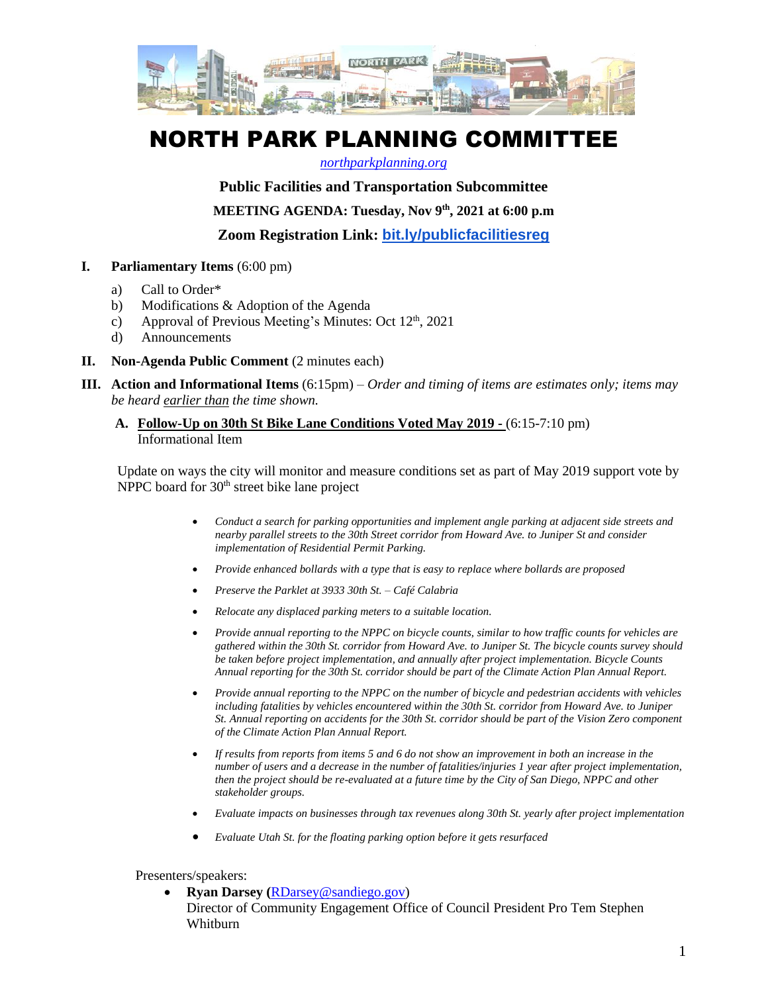

# NORTH PARK PLANNING COMMITTEE

#### *[northparkplanning.org](http://www.northparkplanning.org/)*

## **Public Facilities and Transportation Subcommittee**

**MEETING AGENDA: Tuesday, Nov 9 th, 2021 at 6:00 p.m**

**Zoom Registration Link: [bit.ly/publicfacilitiesreg](http://bit.ly/publicfacilitiesreg)**

- **I. Parliamentary Items** (6:00 pm)
	- a) Call to Order\*
	- b) Modifications & Adoption of the Agenda
	- c) Approval of Previous Meeting's Minutes: Oct  $12<sup>th</sup>$ , 2021
	- d) Announcements
- **II. Non-Agenda Public Comment** (2 minutes each)
- **III. Action and Informational Items** (6:15pm) *Order and timing of items are estimates only; items may be heard earlier than the time shown.*
	- **A. Follow-Up on 30th St Bike Lane Conditions Voted May 2019 -** (6:15-7:10 pm) Informational Item

Update on ways the city will monitor and measure conditions set as part of May 2019 support vote by NPPC board for 30<sup>th</sup> street bike lane project

- *Conduct a search for parking opportunities and implement angle parking at adjacent side streets and nearby parallel streets to the 30th Street corridor from Howard Ave. to Juniper St and consider implementation of Residential Permit Parking.*
- *Provide enhanced bollards with a type that is easy to replace where bollards are proposed*
- *Preserve the Parklet at 3933 30th St. – Café Calabria*
- *Relocate any displaced parking meters to a suitable location.*
- *Provide annual reporting to the NPPC on bicycle counts, similar to how traffic counts for vehicles are gathered within the 30th St. corridor from Howard Ave. to Juniper St. The bicycle counts survey should be taken before project implementation, and annually after project implementation. Bicycle Counts Annual reporting for the 30th St. corridor should be part of the Climate Action Plan Annual Report.*
- *Provide annual reporting to the NPPC on the number of bicycle and pedestrian accidents with vehicles including fatalities by vehicles encountered within the 30th St. corridor from Howard Ave. to Juniper St. Annual reporting on accidents for the 30th St. corridor should be part of the Vision Zero component of the Climate Action Plan Annual Report.*
- *If results from reports from items 5 and 6 do not show an improvement in both an increase in the number of users and a decrease in the number of fatalities/injuries 1 year after project implementation, then the project should be re-evaluated at a future time by the City of San Diego, NPPC and other stakeholder groups.*
- *Evaluate impacts on businesses through tax revenues along 30th St. yearly after project implementation*
- *Evaluate Utah St. for the floating parking option before it gets resurfaced*

#### Presenters/speakers:

• **Ryan Darsey (**[RDarsey@sandiego.gov\)](mailto:RDarsey@sandiego.gov) Director of Community Engagement Office of Council President Pro Tem Stephen Whitburn